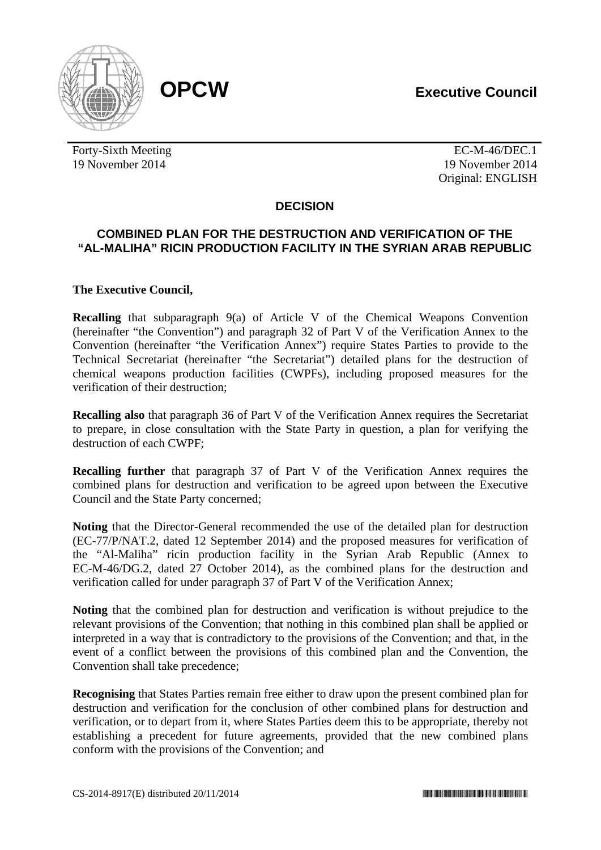

Forty-Sixth Meeting EC-M-46/DEC.1 19 November 2014 19 November 2014

Original: ENGLISH

# **DECISION**

## **COMBINED PLAN FOR THE DESTRUCTION AND VERIFICATION OF THE "AL-MALIHA" RICIN PRODUCTION FACILITY IN THE SYRIAN ARAB REPUBLIC**

### **The Executive Council,**

**Recalling** that subparagraph 9(a) of Article V of the Chemical Weapons Convention (hereinafter "the Convention") and paragraph 32 of Part V of the Verification Annex to the Convention (hereinafter "the Verification Annex") require States Parties to provide to the Technical Secretariat (hereinafter "the Secretariat") detailed plans for the destruction of chemical weapons production facilities (CWPFs), including proposed measures for the verification of their destruction;

**Recalling also** that paragraph 36 of Part V of the Verification Annex requires the Secretariat to prepare, in close consultation with the State Party in question, a plan for verifying the destruction of each CWPF;

**Recalling further** that paragraph 37 of Part V of the Verification Annex requires the combined plans for destruction and verification to be agreed upon between the Executive Council and the State Party concerned;

**Noting** that the Director-General recommended the use of the detailed plan for destruction (EC-77/P/NAT.2, dated 12 September 2014) and the proposed measures for verification of the "Al-Maliha" ricin production facility in the Syrian Arab Republic (Annex to EC-M-46/DG.2, dated 27 October 2014), as the combined plans for the destruction and verification called for under paragraph 37 of Part V of the Verification Annex;

**Noting** that the combined plan for destruction and verification is without prejudice to the relevant provisions of the Convention; that nothing in this combined plan shall be applied or interpreted in a way that is contradictory to the provisions of the Convention; and that, in the event of a conflict between the provisions of this combined plan and the Convention, the Convention shall take precedence;

**Recognising** that States Parties remain free either to draw upon the present combined plan for destruction and verification for the conclusion of other combined plans for destruction and verification, or to depart from it, where States Parties deem this to be appropriate, thereby not establishing a precedent for future agreements, provided that the new combined plans conform with the provisions of the Convention; and